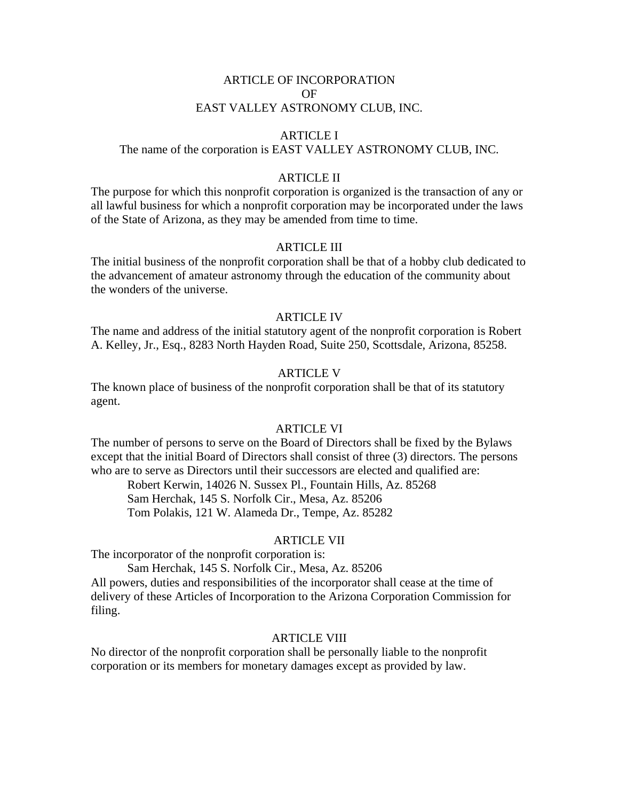# ARTICLE OF INCORPORATION OF EAST VALLEY ASTRONOMY CLUB, INC.

## ARTICLE I

# The name of the corporation is EAST VALLEY ASTRONOMY CLUB, INC.

# ARTICLE II

The purpose for which this nonprofit corporation is organized is the transaction of any or all lawful business for which a nonprofit corporation may be incorporated under the laws of the State of Arizona, as they may be amended from time to time.

### ARTICLE III

The initial business of the nonprofit corporation shall be that of a hobby club dedicated to the advancement of amateur astronomy through the education of the community about the wonders of the universe.

#### ARTICLE IV

The name and address of the initial statutory agent of the nonprofit corporation is Robert A. Kelley, Jr., Esq., 8283 North Hayden Road, Suite 250, Scottsdale, Arizona, 85258.

# ARTICLE V

The known place of business of the nonprofit corporation shall be that of its statutory agent.

# ARTICLE VI

The number of persons to serve on the Board of Directors shall be fixed by the Bylaws except that the initial Board of Directors shall consist of three (3) directors. The persons who are to serve as Directors until their successors are elected and qualified are:

Robert Kerwin, 14026 N. Sussex Pl., Fountain Hills, Az. 85268 Sam Herchak, 145 S. Norfolk Cir., Mesa, Az. 85206 Tom Polakis, 121 W. Alameda Dr., Tempe, Az. 85282

#### ARTICLE VII

The incorporator of the nonprofit corporation is:

Sam Herchak, 145 S. Norfolk Cir., Mesa, Az. 85206 All powers, duties and responsibilities of the incorporator shall cease at the time of delivery of these Articles of Incorporation to the Arizona Corporation Commission for filing.

#### ARTICLE VIII

No director of the nonprofit corporation shall be personally liable to the nonprofit corporation or its members for monetary damages except as provided by law.